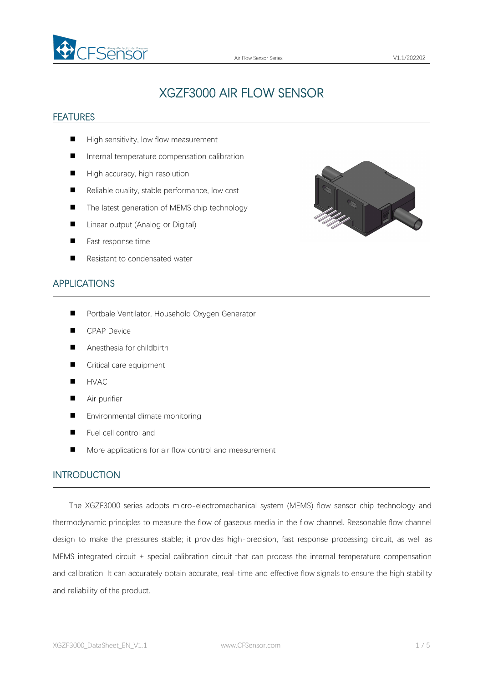

# XGZF3000 AIR FLOW SENSOR

#### FEATURES

- High sensitivity, low flow measurement
- Internal temperature compensation calibration
- $\blacksquare$  High accuracy, high resolution
- $\blacksquare$  Reliable quality, stable performance, low cost
- The latest generation of MEMS chip technology
- Linear output (Analog or Digital)
- **Fast response time**
- Resistant to condensated water



#### APPLICATIONS

- **Portbale Ventilator, Household Oxygen Generator**
- **CPAP Device**
- Anesthesia for childbirth
- Critical care equipment
- **HVAC**
- **Air purifier**
- Environmental climate monitoring
- Fuel cell control and
- More applications for air flow control and measurement

#### INTRODUCTION

The XGZF3000 series adopts micro-electromechanical system (MEMS) flow sensor chip technology and thermodynamic principles to measure the flow of gaseous media in the flow channel. Reasonable flow channel design to make the pressures stable; it provides high-precision, fast response processing circuit, as well as MEMS integrated circuit + special calibration circuit that can process the internal temperature compensation and calibration. It can accurately obtain accurate, real-time and effective flow signals to ensure the high stability and reliability of the product.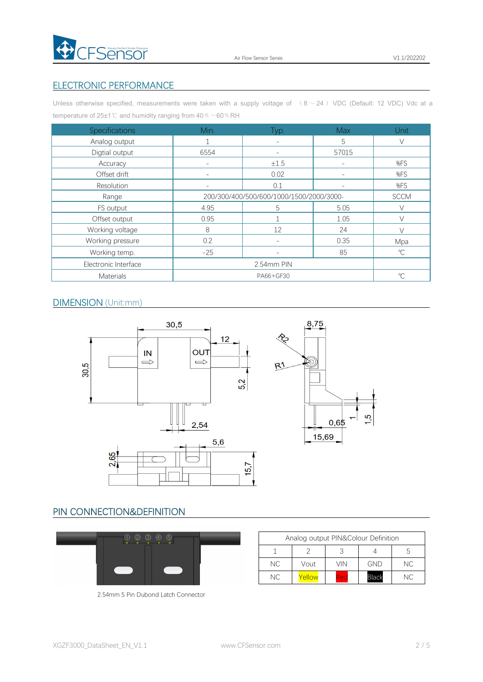

#### ELECTRONIC PERFORMANCE

Unless otherwise specified, measurements were taken with a supply voltage of  $( 8 \sim 24)$  VDC (Default: 12 VDC) Vdc at a temperature of 25±1℃ and humidity ranging from 40 % ~60 % RH

| Specifications       | Min.                                     | Typ.                     | <b>Max</b>               | Unit         |
|----------------------|------------------------------------------|--------------------------|--------------------------|--------------|
| Analog output        |                                          | $\overline{\phantom{a}}$ | 5                        | $\vee$       |
| Digtial output       | 6554                                     | $\overline{\phantom{a}}$ | 57015                    |              |
| Accuracy             | $\overline{\phantom{a}}$                 | ±1.5                     | $\overline{\phantom{a}}$ | %FS          |
| Offset drift         | $\overline{\phantom{a}}$                 | 0.02                     | $\overline{\phantom{a}}$ | %FS          |
| Resolution           |                                          | 0.1                      | $\overline{\phantom{a}}$ | %FS          |
| Range                | 200/300/400/500/600/1000/1500/2000/3000- |                          |                          | <b>SCCM</b>  |
| FS output            | 4.95                                     | 5                        | 5.05                     |              |
| Offset output        | 0.95                                     |                          | 1.05                     | $\vee$       |
| Working voltage      | 8                                        | 12                       | 24                       |              |
| Working pressure     | 0.2                                      | $\overline{\phantom{a}}$ | 0.35                     | Mpa          |
| Working temp.        | $-25$                                    | $\overline{\phantom{a}}$ | 85                       | $^{\circ}C$  |
| Electronic Interface | 2.54mm PIN                               |                          |                          |              |
| Materials            | PA66+GF30                                |                          |                          | $\mathrm{C}$ |

#### DIMENSION (Unit:mm)



### PIN CONNECTION&DEFINITION

| 00000 |  |
|-------|--|
|       |  |

| Analog output PIN&Colour Definition |        |            |              |           |
|-------------------------------------|--------|------------|--------------|-----------|
|                                     |        |            |              |           |
| NC.                                 | Vout   | vin        | <b>GND</b>   | NC.       |
| <b>NC</b>                           | 'ellow | <b>Red</b> | <b>Black</b> | <b>NC</b> |

2.54mm 5 Pin Dubond Latch Connector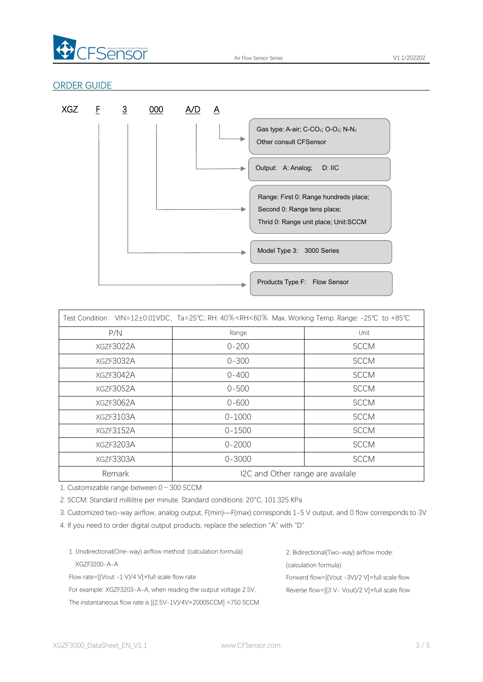

#### ORDER GUIDE



|           | Test Condition: VIN=12±0.01VDC, Ta=25°C; RH: 40% <rh<60% +85°c<="" -25°c="" max.="" range:="" temp.="" th="" to="" working=""><th></th></rh<60%> |             |
|-----------|--------------------------------------------------------------------------------------------------------------------------------------------------|-------------|
| P/N       | Range                                                                                                                                            | Unit        |
| XGZF3022A | $0 - 200$                                                                                                                                        | <b>SCCM</b> |
| XGZF3032A | $0 - 300$                                                                                                                                        | <b>SCCM</b> |
| XGZF3042A | $0 - 400$                                                                                                                                        | <b>SCCM</b> |
| XGZF3052A | $0 - 500$                                                                                                                                        | <b>SCCM</b> |
| XGZF3062A | $0 - 600$                                                                                                                                        | <b>SCCM</b> |
| XGZF3103A | $0 - 1000$                                                                                                                                       | <b>SCCM</b> |
| XGZF3152A | $0 - 1500$                                                                                                                                       | <b>SCCM</b> |
| XGZF3203A | $0 - 2000$                                                                                                                                       | <b>SCCM</b> |
| XGZF3303A | $0 - 3000$                                                                                                                                       | <b>SCCM</b> |
| Remark    | I2C and Other range are availale                                                                                                                 |             |

1. Customizable range between 0~300 SCCM

2. SCCM: Standard millilitre per minute. Standard conditions: 20°C, 101.325 KPa

3. Customized two-way airflow, analog output, F(min)—F(max) corresponds 1-5 V output, and 0 flow corresponds to 3V

4. If you need to order digital output products, replace the selection "A" with "D"

| 1. Unidirectional (One-way) airflow method: (calculation formula)          | 2. Bidirectional (Two-way) airflow mode:                  |
|----------------------------------------------------------------------------|-----------------------------------------------------------|
| XGZF3200-A-A                                                               | (calculation formula)                                     |
| Flow rate= $[(Vout -1 V)/4 V] \times full scale flow rate$                 | Forward flow= $[(Vout - 3V)/2 V] \times full scale flow$  |
| For example: XGZF3203-A-A, when reading the output voltage 2.5V,           | Reverse flow= $[(3 V - Vout)/2 V] \times full scale flow$ |
| The instantaneous flow rate is $[(2.5V-1V)/4V \times 2000SCCM] = 750 SCCM$ |                                                           |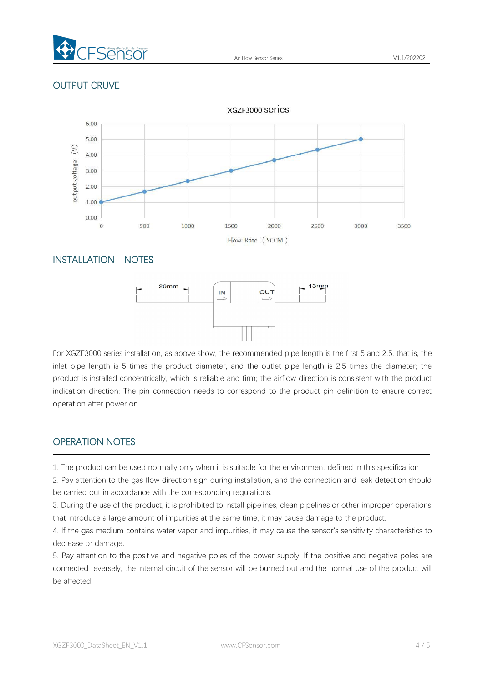

### OUTPUT CRUVE



#### INSTALLATION NOTES



For XGZF3000 series installation, as above show, the recommended pipe length is the first 5 and 2.5, that is, the inlet pipe length is 5 times the product diameter, and the outlet pipe length is 2.5 times the diameter; the product is installed concentrically, which is reliable and firm; the airflow direction is consistent with the product indication direction; The pin connection needs to correspond to the product pin definition to ensure correct operation after power on.

#### OPERATION NOTES

1. The product can be used normally only when it is suitable for the environment defined in this specification

2. Pay attention to the gas flow direction sign during installation, and the connection and leak detection should be carried out in accordance with the corresponding regulations.

3. During the use of the product, it is prohibited to install pipelines, clean pipelines or other improper operations that introduce a large amount of impurities at the same time; it may cause damage to the product.

4. If the gas medium contains water vapor and impurities, it may cause the sensor's sensitivity characteristics to decrease or damage.

5. Pay attention to the positive and negative poles of the power supply. If the positive and negative poles are connected reversely, the internal circuit of the sensor will be burned out and the normal use of the product will be affected.